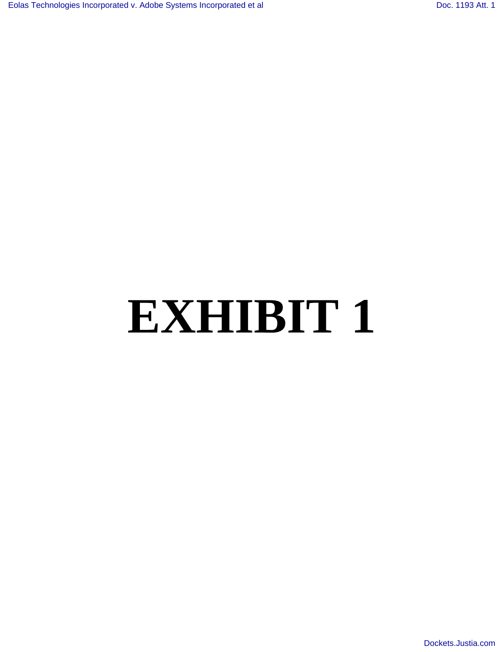# **EXHIBIT 1**

[Dockets.Justia.com](http://dockets.justia.com/)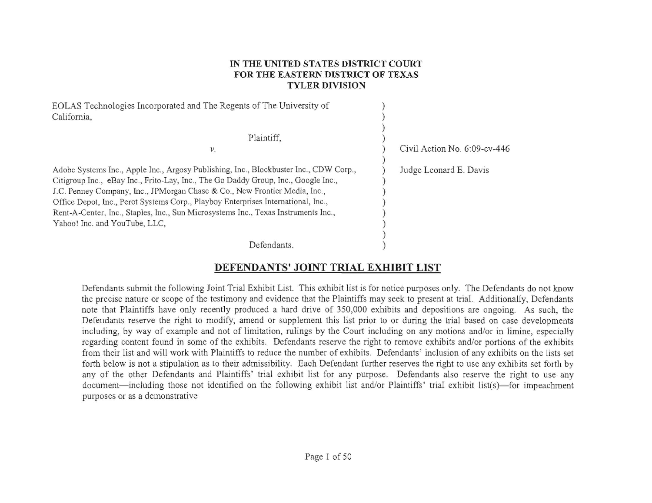#### **IN THE UNITED STATES DISTRICT COURT FOR THE EASTERN DISTRICT OF TEXAS TYLER DIVISION**

| EOLAS Technologies Incorporated and The Regents of The University of<br>California,                                                                                                                                                                                                                                                                                                                                                                                   |                                 |
|-----------------------------------------------------------------------------------------------------------------------------------------------------------------------------------------------------------------------------------------------------------------------------------------------------------------------------------------------------------------------------------------------------------------------------------------------------------------------|---------------------------------|
| Plaintiff,<br>ν.                                                                                                                                                                                                                                                                                                                                                                                                                                                      | Civil Action No. $6:09$ -cv-446 |
| Adobe Systems Inc., Apple Inc., Argosy Publishing, Inc., Blockbuster Inc., CDW Corp.,<br>Citigroup Inc., eBay Inc., Frito-Lay, Inc., The Go Daddy Group, Inc., Google Inc.,<br>J.C. Penney Company, Inc., JPMorgan Chase & Co., New Frontier Media, Inc.,<br>Office Depot, Inc., Perot Systems Corp., Playboy Enterprises International, Inc.,<br>Rent-A-Center, Inc., Staples, Inc., Sun Microsystems Inc., Texas Instruments Inc.,<br>Yahoo! Inc. and YouTube, LLC, | Judge Leonard E. Davis          |
| Defendants.                                                                                                                                                                                                                                                                                                                                                                                                                                                           |                                 |

### **DEFENDANTS' JOINT TRIAL EXHIBIT LIST**

Defendants submit the following Joint Trial Exhibit List. This exhibit list is for notice purposes only. The Defendants do not know the precise nature or scope of the testimony and evidence that the Plaintiffs may seek to present at trial. Additionally, Defendants note that Plaintiffs have only recently produced a hard drive of 350,000 exhibits and depositions are ongoing. As such, the Defendants reserve the right to modify, amend or supplement this list prior to or during the trial based on case developments including, by way of example and not of limitation, rulings by the Court including on any motions and/or in limine, especially regarding content found in some of the exhibits. Defendants reserve the right to remove exhibits andlor portions of the exhibits from their list and will work with Plaintiffs to reduce the number of exhibits. Defendants' inclusion of any exhibits on the lists set forth below is not a stipulation as to their admissibility. Each Defendant further reserves the right to use any exhibits set forth by any of the other Defendants and Plaintiffs' trial exhibit list for any purpose. Defendants also reserve the right to use any document—including those not identified on the following exhibit list and/or Plaintiffs' trial exhibit list(s)—for impeachment purposes or as a demonstrative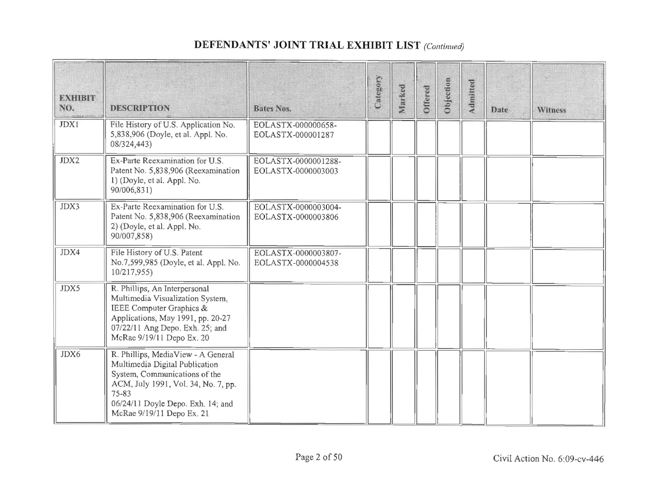## DEFENDANTS' JOINT TRIAL EXHIBIT LIST (Continued)

| <b>EXHIBIT</b><br>NO. | <b>DESCRIPTION</b>                                                                                                                                                                                                      | Bates Nos.                                | Category | Marked | Offered | Objection | Admitted | Date | <b>Witness</b> |
|-----------------------|-------------------------------------------------------------------------------------------------------------------------------------------------------------------------------------------------------------------------|-------------------------------------------|----------|--------|---------|-----------|----------|------|----------------|
| <b>JDX1</b>           | File History of U.S. Application No.<br>5,838,906 (Doyle, et al. Appl. No.<br>08/324,443)                                                                                                                               | EOLASTX-000000658-<br>EOLASTX-000001287   |          |        |         |           |          |      |                |
| JDX2                  | Ex-Parte Reexamination for U.S.<br>Patent No. 5,838,906 (Reexamination<br>1) (Doyle, et al. Appl. No.<br>90/006,831)                                                                                                    | EOLASTX-0000001288-<br>EOLASTX-0000003003 |          |        |         |           |          |      |                |
| JDX3                  | Ex-Parte Reexamination for U.S.<br>Patent No. 5,838,906 (Reexamination<br>2) (Doyle, et al. Appl. No.<br>90/007,858)                                                                                                    | EOLASTX-0000003004-<br>EOLASTX-0000003806 |          |        |         |           |          |      |                |
| JDX4                  | File History of U.S. Patent<br>No.7,599,985 (Doyle, et al. Appl. No.<br>10/217,955)                                                                                                                                     | EOLASTX-0000003807-<br>EOLASTX-0000004538 |          |        |         |           |          |      |                |
| JDX5                  | R. Phillips, An Interpersonal<br>Multimedia Visualization System,<br>IEEE Computer Graphics &<br>Applications, May 1991, pp. 20-27<br>07/22/11 Ang Depo. Exh. 25; and<br>McRae 9/19/11 Depo Ex. 20                      |                                           |          |        |         |           |          |      |                |
| JDX6                  | R. Phillips, MediaView - A General<br>Multimedia Digital Publication<br>System, Communications of the<br>ACM, July 1991, Vol. 34, No. 7, pp.<br>75-83<br>06/24/11 Doyle Depo. Exh. 14; and<br>McRae 9/19/11 Depo Ex. 21 |                                           |          |        |         |           |          |      |                |